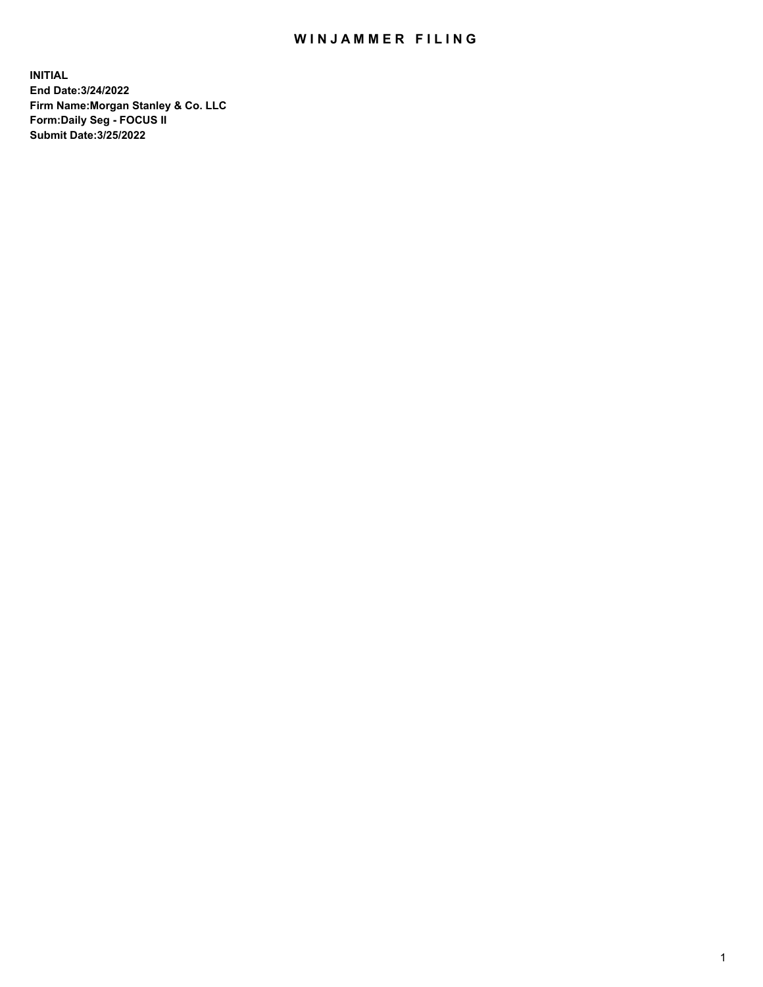## WIN JAMMER FILING

**INITIAL End Date:3/24/2022 Firm Name:Morgan Stanley & Co. LLC Form:Daily Seg - FOCUS II Submit Date:3/25/2022**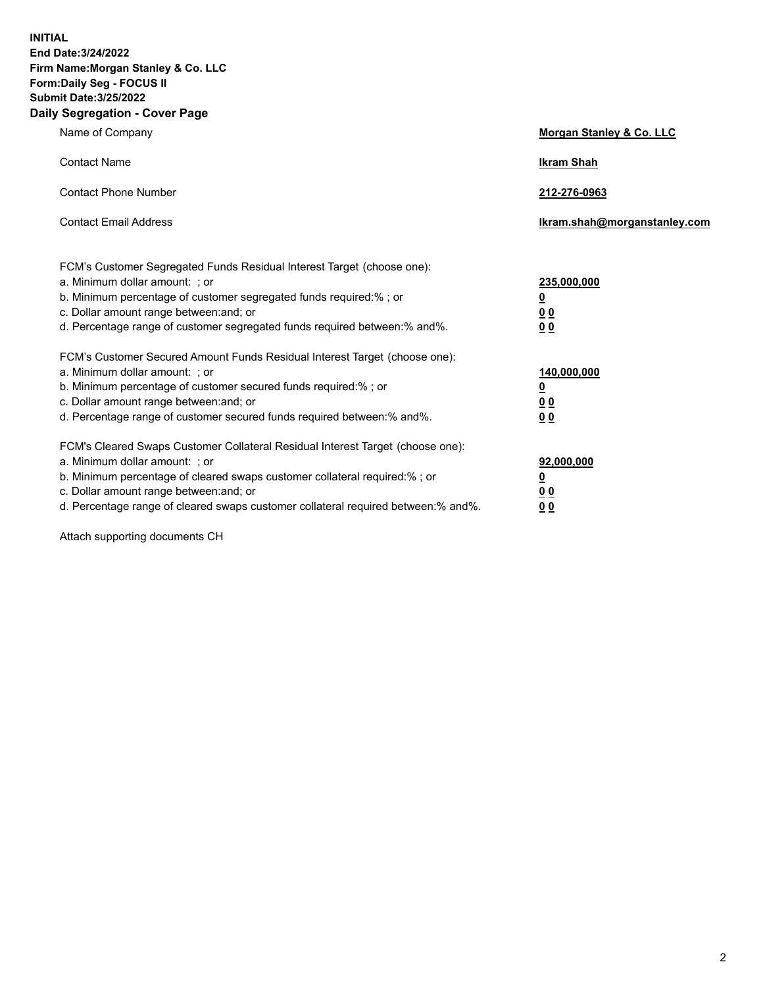**INITIAL End Date:3/24/2022 Firm Name:Morgan Stanley & Co. LLC Form:Daily Seg - FOCUS II Submit Date:3/25/2022 Daily Segregation - Cover Page**

| Name of Company                                                                                                                                                                                                                                                                                                                | Morgan Stanley & Co. LLC                               |
|--------------------------------------------------------------------------------------------------------------------------------------------------------------------------------------------------------------------------------------------------------------------------------------------------------------------------------|--------------------------------------------------------|
| <b>Contact Name</b>                                                                                                                                                                                                                                                                                                            | <b>Ikram Shah</b>                                      |
| <b>Contact Phone Number</b>                                                                                                                                                                                                                                                                                                    | 212-276-0963                                           |
| <b>Contact Email Address</b>                                                                                                                                                                                                                                                                                                   | Ikram.shah@morganstanley.com                           |
| FCM's Customer Segregated Funds Residual Interest Target (choose one):<br>a. Minimum dollar amount: ; or<br>b. Minimum percentage of customer segregated funds required:% ; or<br>c. Dollar amount range between: and; or<br>d. Percentage range of customer segregated funds required between:% and%.                         | 235,000,000<br><u>0</u><br>0 <sup>0</sup><br><u>00</u> |
| FCM's Customer Secured Amount Funds Residual Interest Target (choose one):<br>a. Minimum dollar amount: ; or<br>b. Minimum percentage of customer secured funds required:% ; or<br>c. Dollar amount range between: and; or<br>d. Percentage range of customer secured funds required between:% and%.                           | 140,000,000<br><u>0</u><br><u>00</u><br>00             |
| FCM's Cleared Swaps Customer Collateral Residual Interest Target (choose one):<br>a. Minimum dollar amount: ; or<br>b. Minimum percentage of cleared swaps customer collateral required:% ; or<br>c. Dollar amount range between: and; or<br>d. Percentage range of cleared swaps customer collateral required between:% and%. | 92,000,000<br><u>0</u><br><u>00</u><br>00              |

Attach supporting documents CH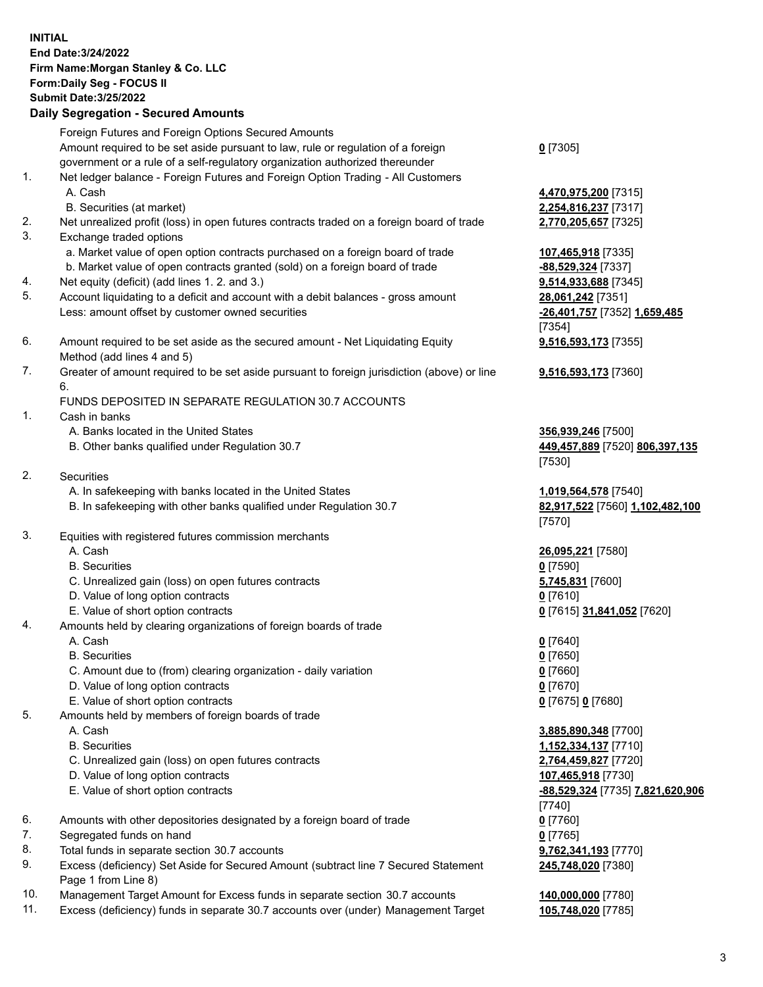## **INITIAL End Date:3/24/2022 Firm Name:Morgan Stanley & Co. LLC Form:Daily Seg - FOCUS II Submit Date:3/25/2022 Daily Segregation - Secured Amounts** Foreign Futures and Foreign Options Secured Amounts Amount required to be set aside pursuant to law, rule or regulation of a foreign government or a rule of a self-regulatory organization authorized thereunder 1. Net ledger balance - Foreign Futures and Foreign Option Trading - All Customers A. Cash **4,470,975,200** [7315] B. Securities (at market) **2,254,816,237** [7317] 2. Net unrealized profit (loss) in open futures contracts traded on a foreign board of trade **2,770,205,657** [7325] 3. Exchange traded options a. Market value of open option contracts purchased on a foreign board of trade **107,465,918** [7335] b. Market value of open contracts granted (sold) on a foreign board of trade **-88,529,324** [7337] 4. Net equity (deficit) (add lines 1. 2. and 3.) **9,514,933,688** [7345] 5. Account liquidating to a deficit and account with a debit balances - gross amount **28,061,242** [7351] Less: amount offset by customer owned securities **-26,401,757** [7352] **1,659,485** 6. Amount required to be set aside as the secured amount - Net Liquidating Equity Method (add lines 4 and 5) 7. Greater of amount required to be set aside pursuant to foreign jurisdiction (above) or line 6. FUNDS DEPOSITED IN SEPARATE REGULATION 30.7 ACCOUNTS 1. Cash in banks A. Banks located in the United States **356,939,246** [7500] B. Other banks qualified under Regulation 30.7 **449,457,889** [7520] **806,397,135** 2. Securities A. In safekeeping with banks located in the United States **1,019,564,578** [7540] B. In safekeeping with other banks qualified under Regulation 30.7 **82,917,522** [7560] **1,102,482,100** 3. Equities with registered futures commission merchants A. Cash **26,095,221** [7580] B. Securities **0** [7590] C. Unrealized gain (loss) on open futures contracts **5,745,831** [7600] D. Value of long option contracts **0** [7610] E. Value of short option contracts **0** [7615] **31,841,052** [7620] 4. Amounts held by clearing organizations of foreign boards of trade A. Cash **0** [7640] B. Securities **0** [7650] C. Amount due to (from) clearing organization - daily variation **0** [7660] D. Value of long option contracts **0** [7670] E. Value of short option contracts **0** [7675] **0** [7680] 5. Amounts held by members of foreign boards of trade A. Cash **3,885,890,348** [7700] B. Securities **1,152,334,137** [7710] C. Unrealized gain (loss) on open futures contracts **2,764,459,827** [7720] D. Value of long option contracts **107,465,918** [7730]

- 
- 6. Amounts with other depositories designated by a foreign board of trade **0** [7760]
- 7. Segregated funds on hand **0** [7765]
- 8. Total funds in separate section 30.7 accounts **9,762,341,193** [7770]
- 9. Excess (deficiency) Set Aside for Secured Amount (subtract line 7 Secured Statement Page 1 from Line 8)
- 10. Management Target Amount for Excess funds in separate section 30.7 accounts **140,000,000** [7780]
- 11. Excess (deficiency) funds in separate 30.7 accounts over (under) Management Target **105,748,020** [7785]

**0** [7305]

[7354] **9,516,593,173** [7355]

**9,516,593,173** [7360]

[7530]

[7570]

 E. Value of short option contracts **-88,529,324** [7735] **7,821,620,906** [7740] **245,748,020** [7380]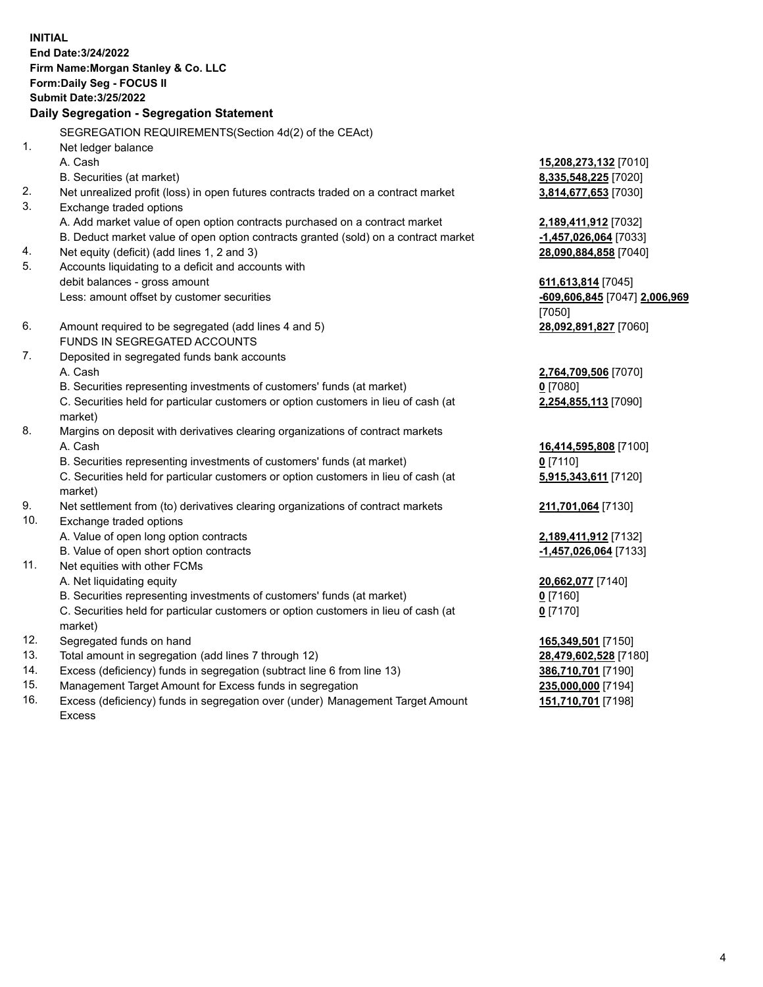**INITIAL End Date:3/24/2022 Firm Name:Morgan Stanley & Co. LLC Form:Daily Seg - FOCUS II Submit Date:3/25/2022 Daily Segregation - Segregation Statement** SEGREGATION REQUIREMENTS(Section 4d(2) of the CEAct) 1. Net ledger balance A. Cash **15,208,273,132** [7010] B. Securities (at market) **8,335,548,225** [7020] 2. Net unrealized profit (loss) in open futures contracts traded on a contract market **3,814,677,653** [7030] 3. Exchange traded options A. Add market value of open option contracts purchased on a contract market **2,189,411,912** [7032] B. Deduct market value of open option contracts granted (sold) on a contract market **-1,457,026,064** [7033] 4. Net equity (deficit) (add lines 1, 2 and 3) **28,090,884,858** [7040] 5. Accounts liquidating to a deficit and accounts with debit balances - gross amount **611,613,814** [7045] Less: amount offset by customer securities **-609,606,845** [7047] **2,006,969** [7050] 6. Amount required to be segregated (add lines 4 and 5) **28,092,891,827** [7060] FUNDS IN SEGREGATED ACCOUNTS 7. Deposited in segregated funds bank accounts A. Cash **2,764,709,506** [7070] B. Securities representing investments of customers' funds (at market) **0** [7080] C. Securities held for particular customers or option customers in lieu of cash (at market) **2,254,855,113** [7090] 8. Margins on deposit with derivatives clearing organizations of contract markets A. Cash **16,414,595,808** [7100] B. Securities representing investments of customers' funds (at market) **0** [7110] C. Securities held for particular customers or option customers in lieu of cash (at market) **5,915,343,611** [7120] 9. Net settlement from (to) derivatives clearing organizations of contract markets **211,701,064** [7130] 10. Exchange traded options A. Value of open long option contracts **2,189,411,912** [7132] B. Value of open short option contracts **-1,457,026,064** [7133] 11. Net equities with other FCMs A. Net liquidating equity **20,662,077** [7140] B. Securities representing investments of customers' funds (at market) **0** [7160] C. Securities held for particular customers or option customers in lieu of cash (at market) **0** [7170] 12. Segregated funds on hand **165,349,501** [7150] 13. Total amount in segregation (add lines 7 through 12) **28,479,602,528** [7180] 14. Excess (deficiency) funds in segregation (subtract line 6 from line 13) **386,710,701** [7190] 15. Management Target Amount for Excess funds in segregation **235,000,000** [7194]

16. Excess (deficiency) funds in segregation over (under) Management Target Amount Excess

**151,710,701** [7198]